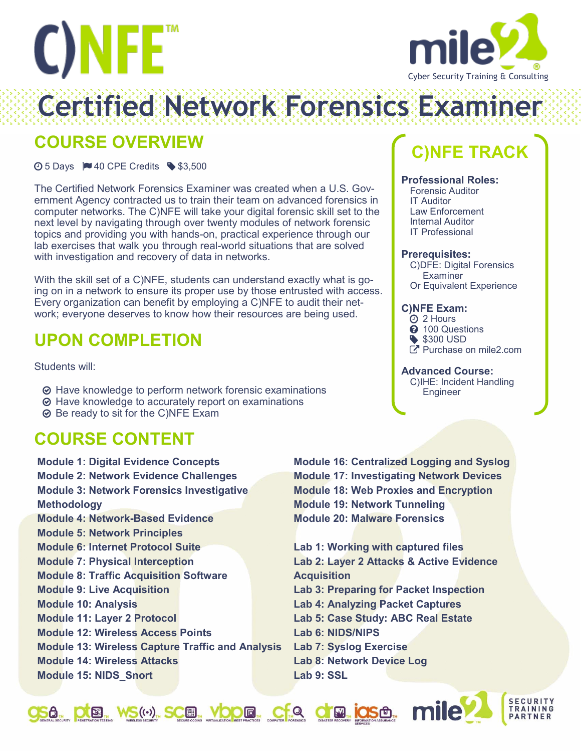



**Certified Network Forensics Examil** 

## **COURSE OVERVIEW**

 $\odot$  5 Days  $\blacksquare$  40 CPE Credits  $\clubsuit$  \$3,500

The Certified Network Forensics Examiner was created when a U.S. Government Agency contracted us to train their team on advanced forensics in computer networks. The C)NFE will take your digital forensic skill set to the next level by navigating through over twenty modules of network forensic topics and providing you with hands-on, practical experience through our lab exercises that walk you through real-world situations that are solved with investigation and recovery of data in networks.

With the skill set of a C)NFE, students can understand exactly what is going on in a network to ensure its proper use by those entrusted with access. Every organization can benefit by employing a C)NFE to audit their network; everyone deserves to know how their resources are being used.

## **UPON COMPLETION**

Students will:

- Have knowledge to perform network forensic examinations
- **⊙** Have knowledge to accurately report on examinations
- Be ready to sit for the C)NFE Exam

## **COURSE CONTENT**

**Module 1: Digital Evidence Concepts Module 2: Network Evidence Challenges Module 3: Network Forensics Investigative Methodology Module 4: Network-Based Evidence Module 5: Network Principles Module 6: Internet Protocol Suite Module 7: Physical Interception Module 8: Traffic Acquisition Software Module 9: Live Acquisition Module 10: Analysis Module 11: Layer 2 Protocol Module 12: Wireless Access Points Module 13: Wireless Capture Traffic and Analysis Module 14: Wireless Attacks Module 15: NIDS\_Snort**

**Module 16: Centralized Logging and Syslog Module 17: Investigating Network Devices Module 18: Web Proxies and Encryption Module 19: Network Tunneling Module 20: Malware Forensics**

**Lab 1: Working with captured files Lab 2: Layer 2 Attacks & Active Evidence Acquisition Lab 3: Preparing for Packet Inspection Lab 4: Analyzing Packet Captures Lab 5: Case Study: ABC Real Estate Lab 6: NIDS/NIPS Lab 7: Syslog Exercise Lab 8: Network Device Log Lab 9: SSL**



**JSA, DE WS(4), SCE, VODE, CFA CFA IOSA, MILE** 

# **C)NFE TRACK**

### **Professional Roles:**

Forensic Auditor IT Auditor Law Enforcement Internal Auditor IT Professional

### **Prerequisites:**

C)DFE: Digital Forensics **Examiner** Or Equivalent Experience

### **C)NFE Exam:**

- 2 Hours
- **2** 100 Questions
- \$300 USD
- Purchase on mile2.com

### **Advanced Course:**

C)IHE: Incident Handling Engineer

**SECURITY** 

**TRAINING** PARTNER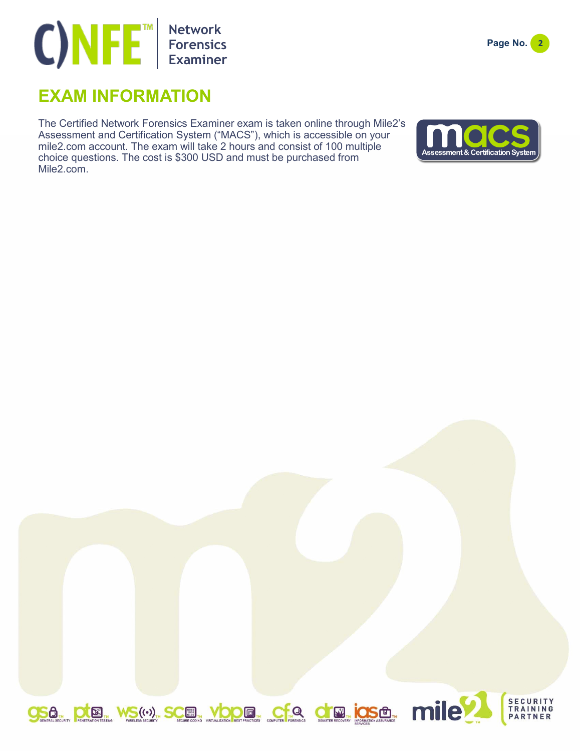## **Network Forensics Examiner**

## **EXAM INFORMATION**

The Certified Network Forensics Examiner exam is taken online through Mile2's Assessment and Certification System ("MACS"), which is accessible on your mile2.com account. The exam will take 2 hours and consist of 100 multiple choice questions. The cost is \$300 USD and must be purchased from Mile2.com.





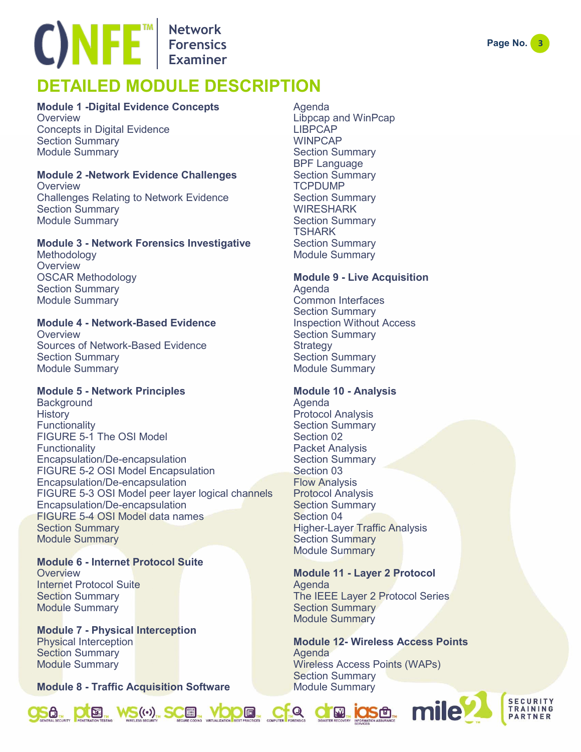## **Network Forensics Examiner**

## **DETAILED MODULE DESCRIPTION**

### **Module 1 -Digital Evidence Concepts**

**Overview** Concepts in Digital Evidence Section Summary Module Summary

### **Module 2 -Network Evidence Challenges**

**Overview** Challenges Relating to Network Evidence Section Summary Module Summary

### **Module 3 - Network Forensics Investigative**

Methodology **Overview** OSCAR Methodology Section Summary Module Summary

### **Module 4 - Network-Based Evidence**

**Overview** Sources of Network-Based Evidence Section Summary Module Summary

### **Module 5 - Network Principles**

**Background History Functionality** FIGURE 5-1 The OSI Model **Functionality** Encapsulation/De-encapsulation FIGURE 5-2 OSI Model Encapsulation Encapsulation/De-encapsulation FIGURE 5-3 OSI Model peer layer logical channels Encapsulation/De-encapsulation FIGURE 5-4 OSI Model data names Section Summary Module Summary

**Module 6 - Internet Protocol Suite Overview** Internet Protocol Suite Section Summary Module Summary

**Module 7 - Physical Interception** Physical Interception Section Summary Module Summary

**Module 8 - Traffic Acquisition Software**

Agenda Libpcap and WinPcap LIBPCAP WINPCAP Section Summary BPF Language Section Summary TCPDUMP Section Summary WIRESHARK Section Summary **TSHARK** Section Summary Module Summary

### **Module 9 - Live Acquisition**

Agenda Common Interfaces Section Summary Inspection Without Access Section Summary **Strategy** Section Summary Module Summary

### **Module 10 - Analysis**

Agenda Protocol Analysis Section Summary Section 02 Packet Analysis Section Summary Section 03 Flow Analysis Protocol Analysis Section Summary Section 04 Higher-Layer Traffic Analysis Section Summary Module Summary

### **Module 11 - Layer 2 Protocol** Agenda

The IEEE Layer 2 Protocol Series Section Summary Module Summary

#### **Module 12- Wireless Access Points** Agenda Wireless Access Points (WAPs) Section Summary Module Summary